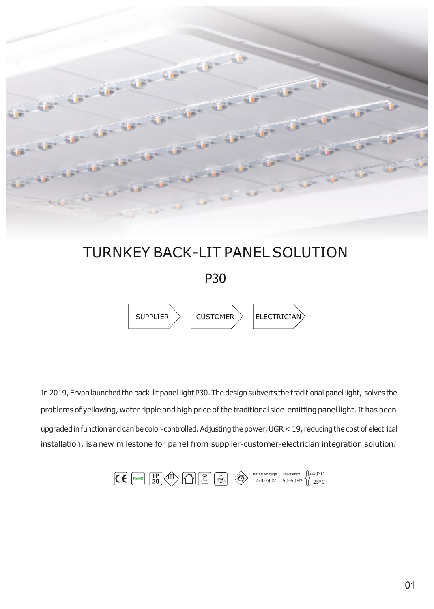

# TURNKEY BACK-LIT PANEL SOLUTION

P30



In 2019, Ervan launched the back-lit panel light P30. The design subverts the traditional panel light,-solves the problems of yellowing, water ripple and high price of the traditional side-emitting panel light. It has been upgraded in function and can be color-controlled. Adjusting the power, UGR < 19, reducing the cost of electrical installation, isanew milestone for panel from supplier-customer-electrician integration solution.

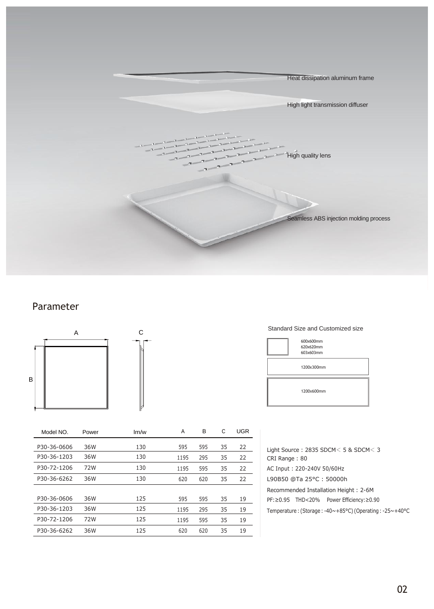

### Parameter



| Model NO.   | Power | Im/w | A    | в   | C  | <b>UGR</b> |
|-------------|-------|------|------|-----|----|------------|
| P30-36-0606 | 36W   | 130  | 595  | 595 | 35 | 22         |
| P30-36-1203 | 36W   | 130  | 1195 | 295 | 35 | 22         |
| P30-72-1206 | 72W   | 130  | 1195 | 595 | 35 | 22         |
| P30-36-6262 | 36W   | 130  | 620  | 620 | 35 | 22         |
|             |       |      |      |     |    |            |
| P30-36-0606 | 36W   | 125  | 595  | 595 | 35 | 19         |
| P30-36-1203 | 36W   | 125  | 1195 | 295 | 35 | 19         |
| P30-72-1206 | 72W   | 125  | 1195 | 595 | 35 | 19         |
| P30-36-6262 | 36W   | 125  | 620  | 620 | 35 | 19         |

#### Standard Size and Customized size

| 600x600mm<br>620x620mm<br>603x603mm |
|-------------------------------------|
| 1200x300mm                          |
| 1200x600mm                          |

Light Source : 2835 SDCM< 5 & SDCM< 3 CRI Range : 80 AC Input : 220-240V 50/60Hz L90B50 @Ta 25°C : 50000h Recommended Installation Height : 2-6M PF:≥0.95 THD<20% Power Efficiency:≥0.90 Temperature : (Storage : -40~+85°C) (Operating : -25~+40°C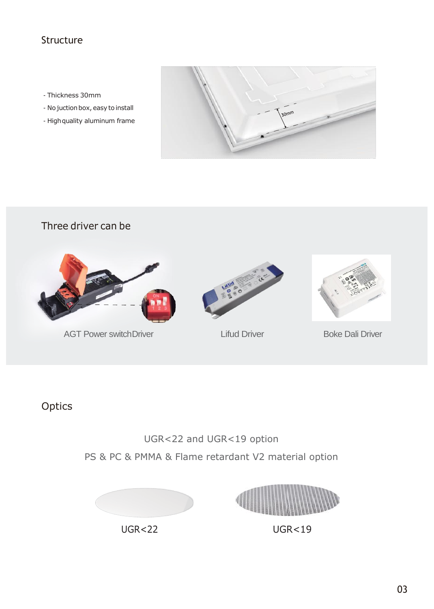## Structure

- Thickness 30mm
- No juction box, easy to install
- High quality aluminum frame



## Three driver can be



AGT Power switch Driver **Lifud Driver** Lifud Driver **Boke Dali Driver** 





# **Optics**

# UGR<22 and UGR<19 option PS & PC & PMMA & Flame retardant V2 material option





UGR<22 UGR<19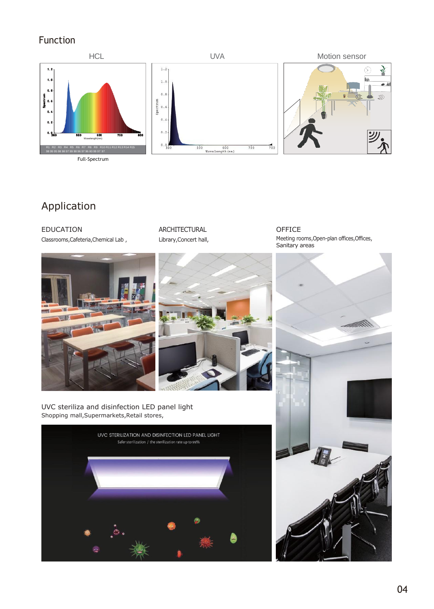## Function



# Application

EDUCATION Classrooms,Cafeteria,Chemical Lab ,



OFFICE Meeting rooms, Open-plan offices, Offices,





UVC steriliza and disinfection LED panel light Shopping mall,Supermarkets,Retail stores,



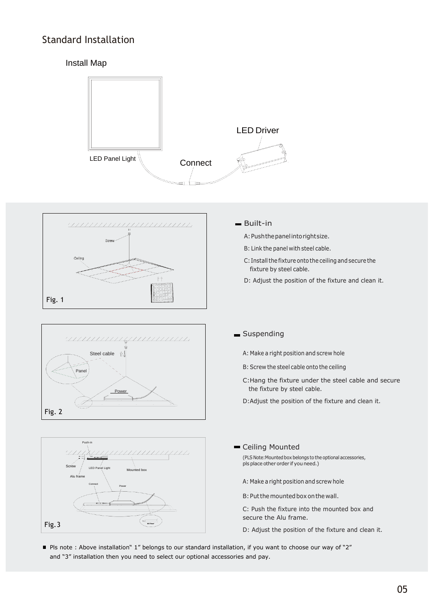## Standard Installation

#### Install Map









#### Built-in

- A:Pushthepanelintorightsize.
- B: Link the panel with steel cable.
- C: Install the fixture onto the ceiling and secure the fixture by steel cable.
- D: Adjust the position of the fixture and clean it.

#### Suspending

- A: Make a right position and screw hole
- B: Screw the steel cable onto the ceiling
- C:Hang the fixture under the steel cable and secure the fixture by steel cable.
- D:Adjust the position of the fixture and clean it.
- Ceiling Mounted
	- (PLS Note:Mounted box belongs to the optional accessories,<br>pls place other order if you need.)
	- A: Make a right position and screw hole
	- B: Put the mounted box on the wall.
	- C: Push the fixture into the mounted box and secure the Alu frame.
	- D: Adjust the position of the fixture and clean it.
- Pls note : Above installation" 1" belongs to our standard installation, if you want to choose our way of "2" and "3" installation then you need to select our optional accessories and pay.